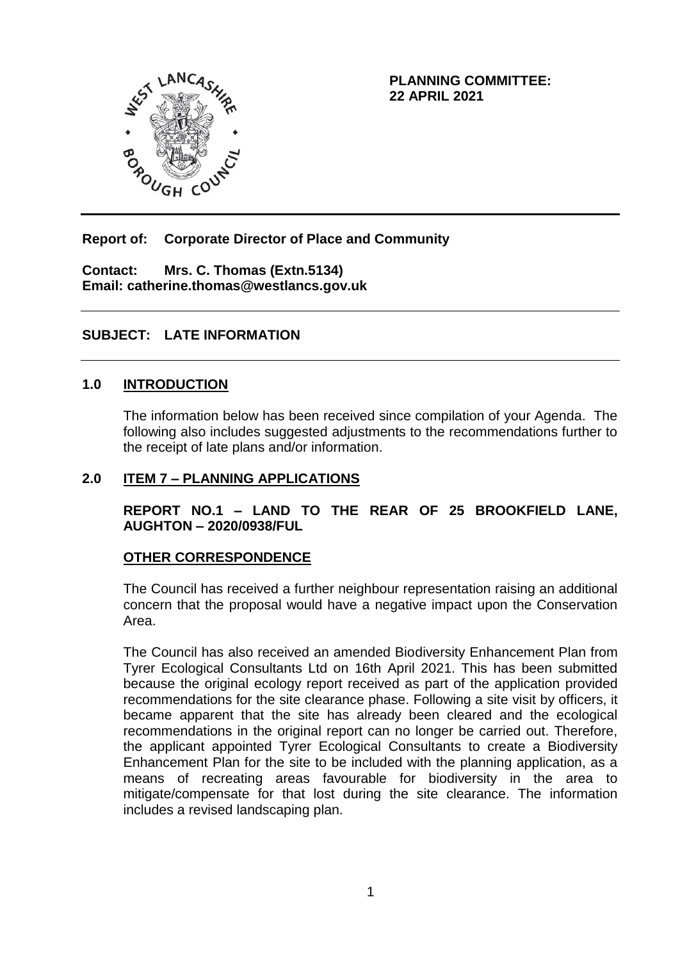

**PLANNING COMMITTEE: 22 APRIL 2021**

**Report of: Corporate Director of Place and Community** 

**Contact: Mrs. C. Thomas (Extn.5134) Email: catherine.thomas@westlancs.gov.uk**

## **SUBJECT: LATE INFORMATION**

#### **1.0 INTRODUCTION**

The information below has been received since compilation of your Agenda. The following also includes suggested adjustments to the recommendations further to the receipt of late plans and/or information.

### **2.0 ITEM 7 – PLANNING APPLICATIONS**

#### **REPORT NO.1 – LAND TO THE REAR OF 25 BROOKFIELD LANE, AUGHTON – 2020/0938/FUL**

#### **OTHER CORRESPONDENCE**

The Council has received a further neighbour representation raising an additional concern that the proposal would have a negative impact upon the Conservation Area.

The Council has also received an amended Biodiversity Enhancement Plan from Tyrer Ecological Consultants Ltd on 16th April 2021. This has been submitted because the original ecology report received as part of the application provided recommendations for the site clearance phase. Following a site visit by officers, it became apparent that the site has already been cleared and the ecological recommendations in the original report can no longer be carried out. Therefore, the applicant appointed Tyrer Ecological Consultants to create a Biodiversity Enhancement Plan for the site to be included with the planning application, as a means of recreating areas favourable for biodiversity in the area to mitigate/compensate for that lost during the site clearance. The information includes a revised landscaping plan.